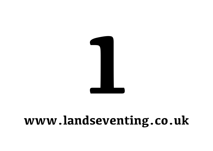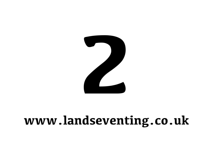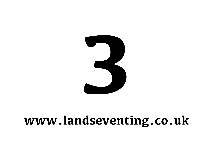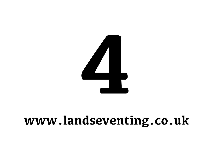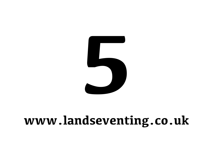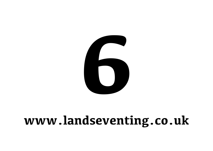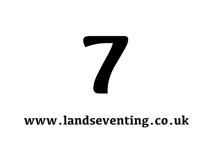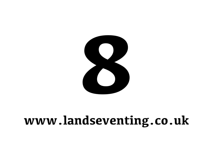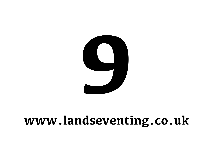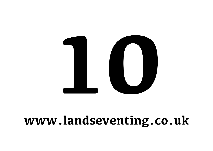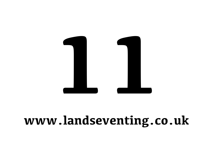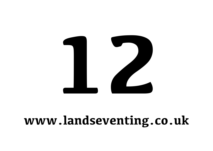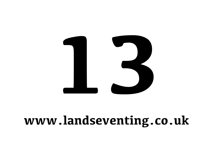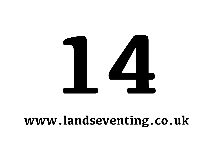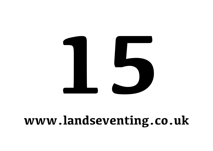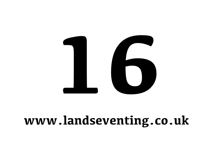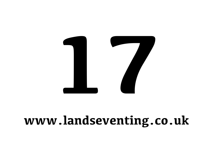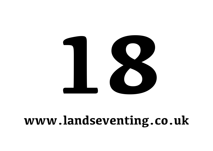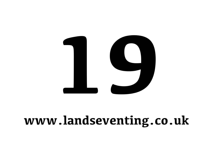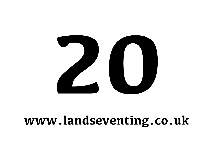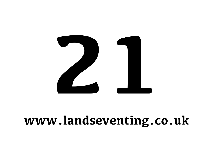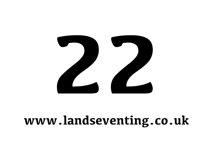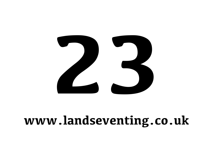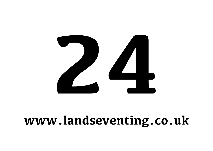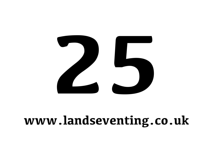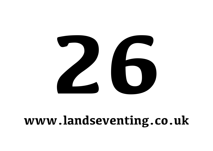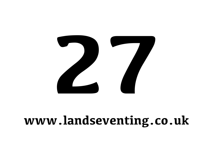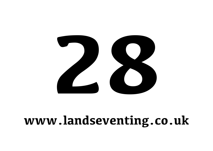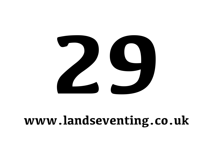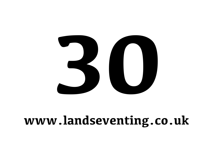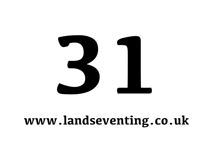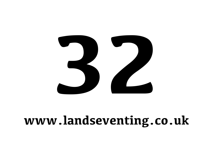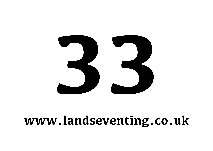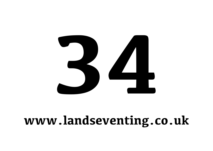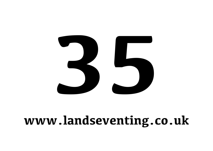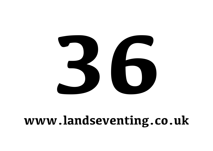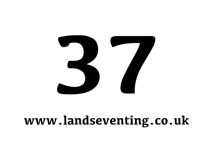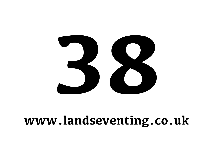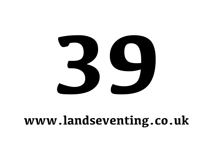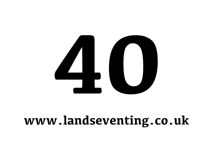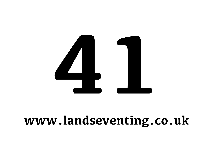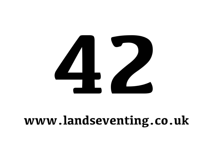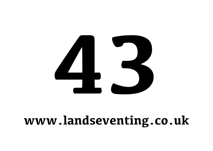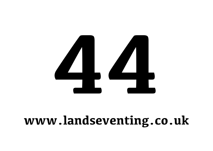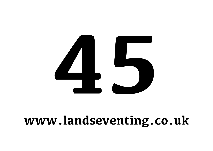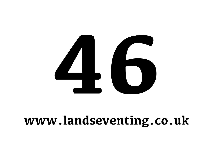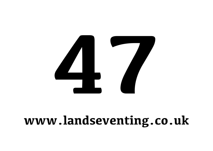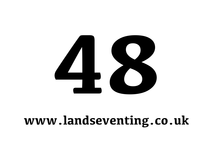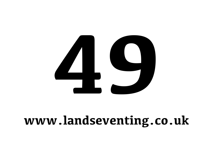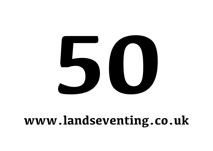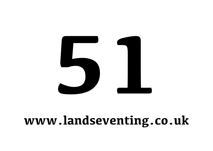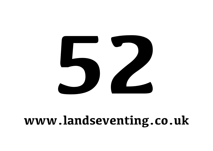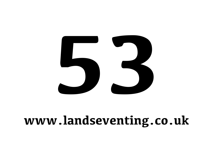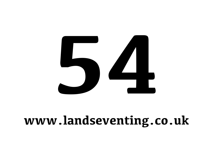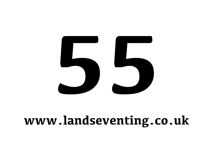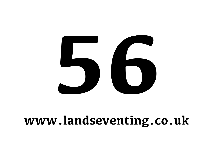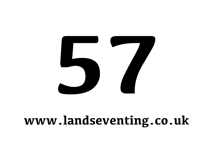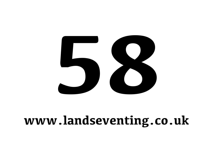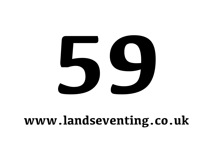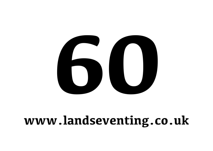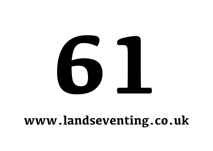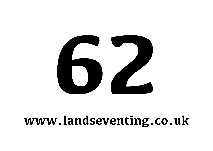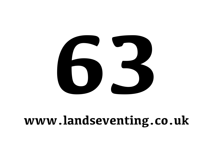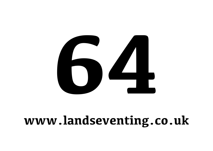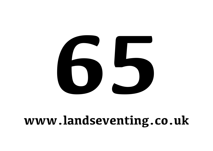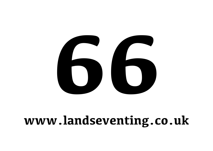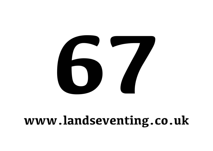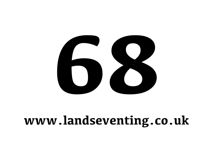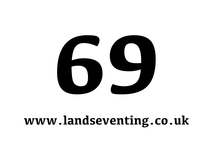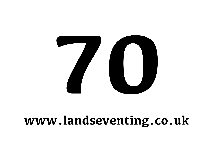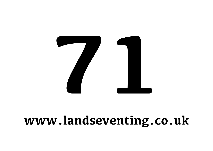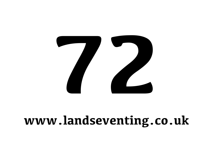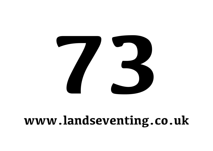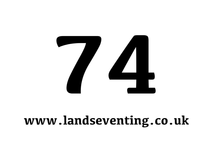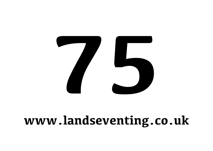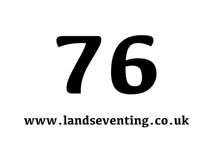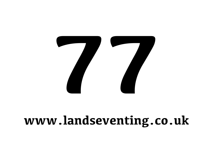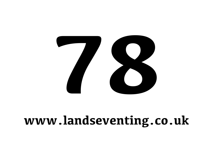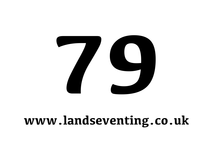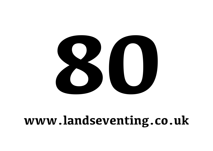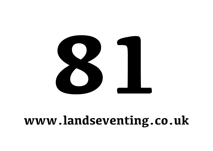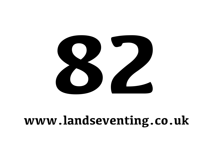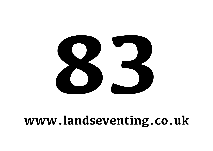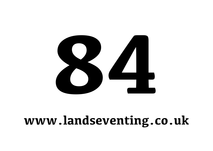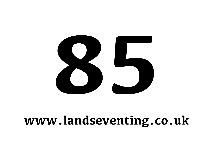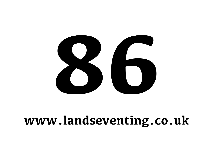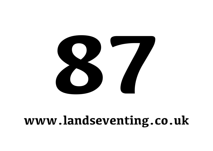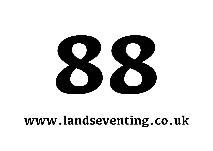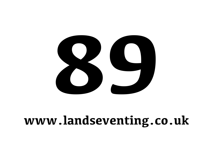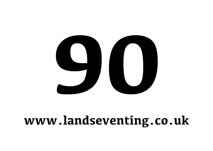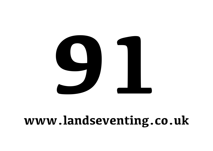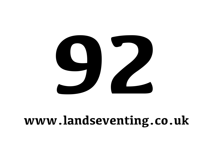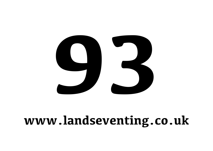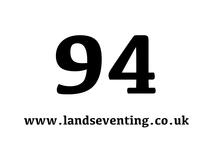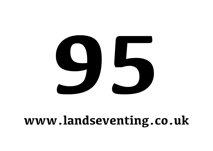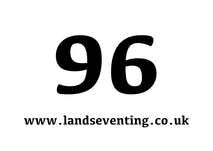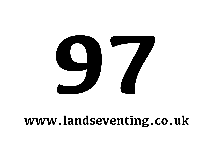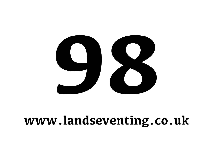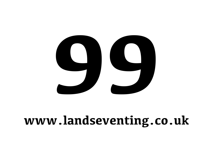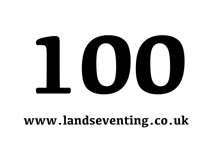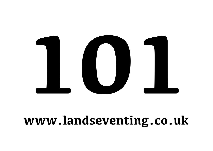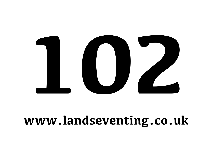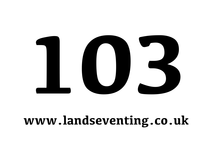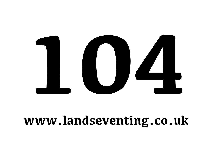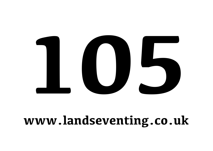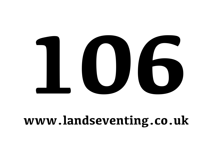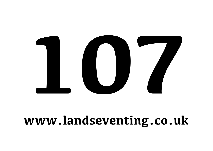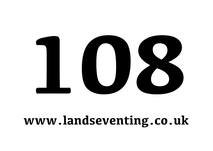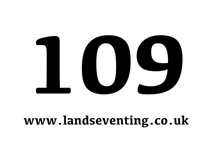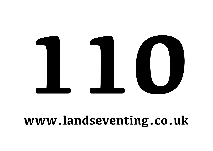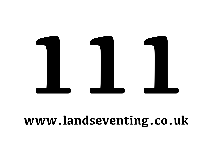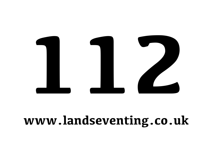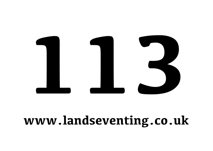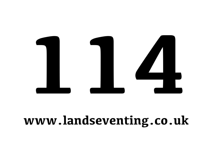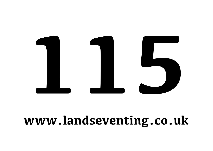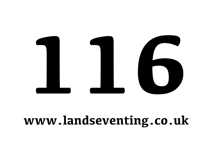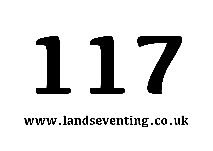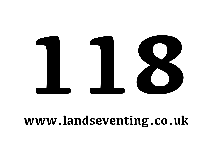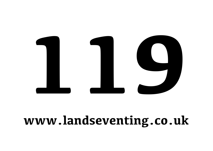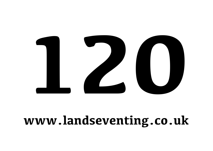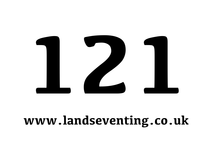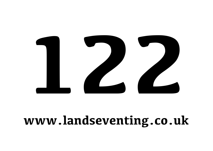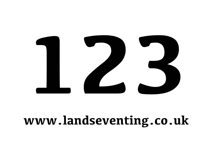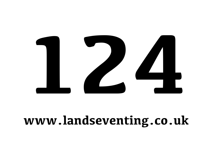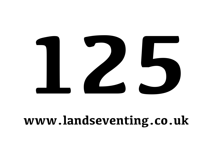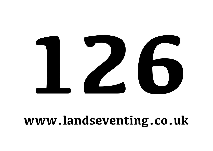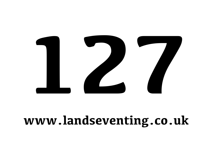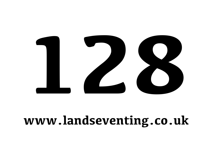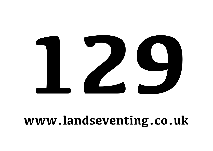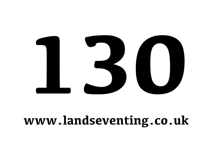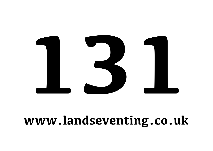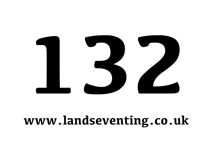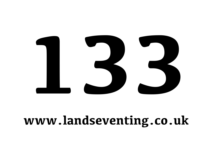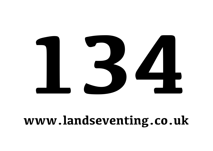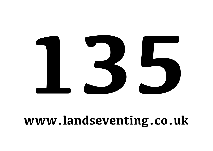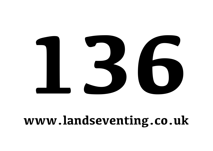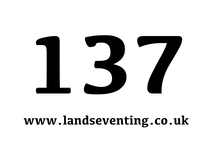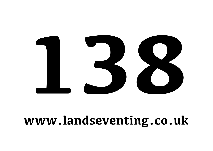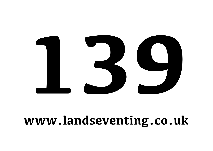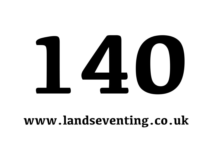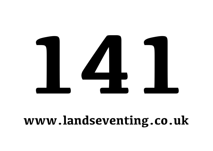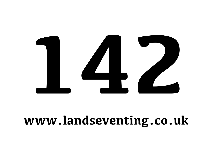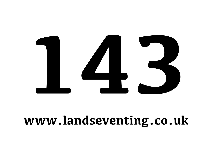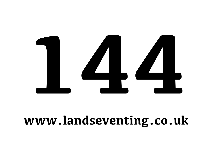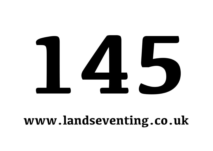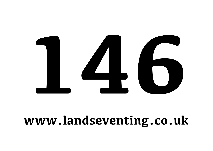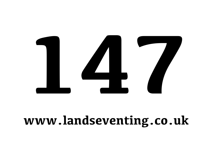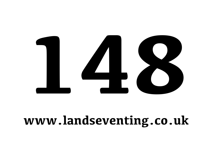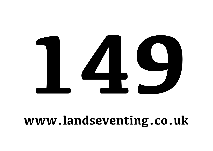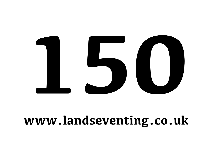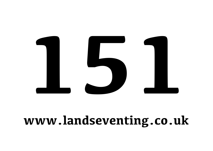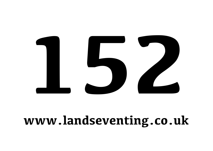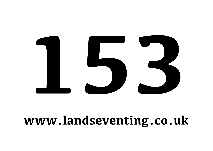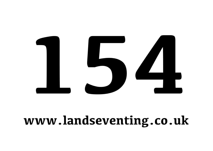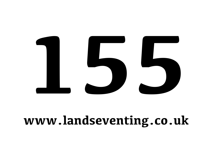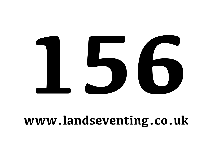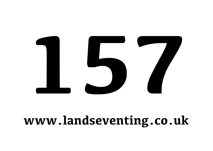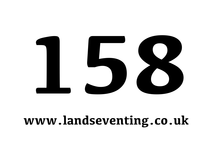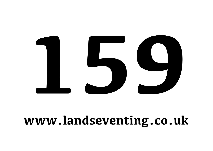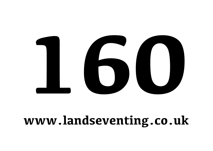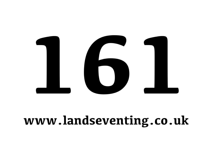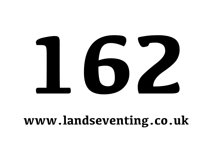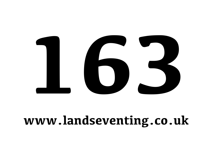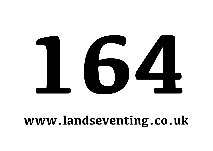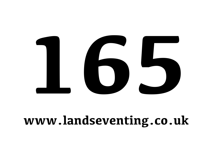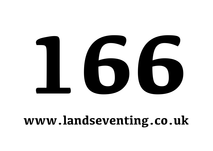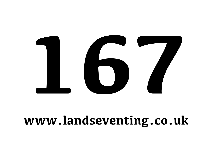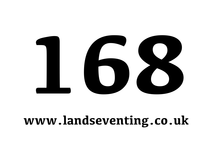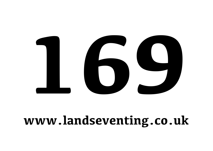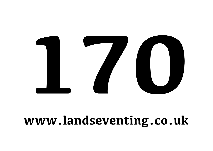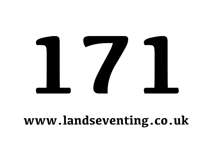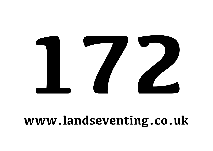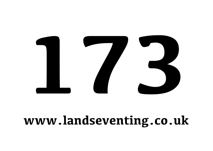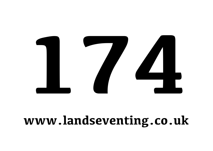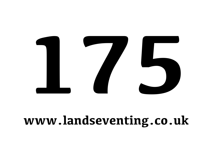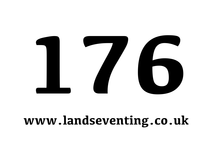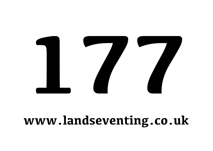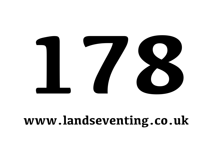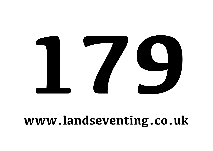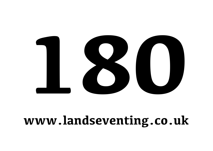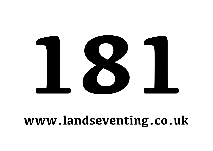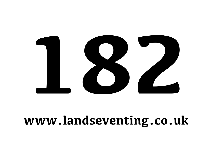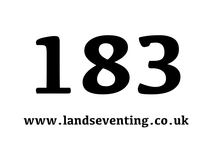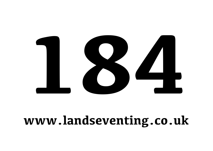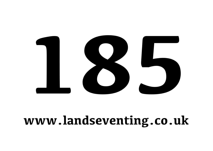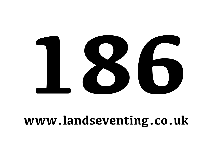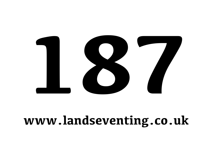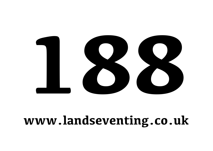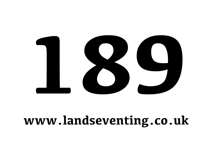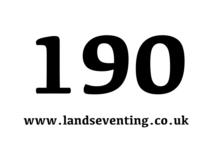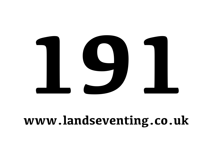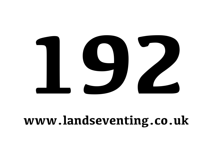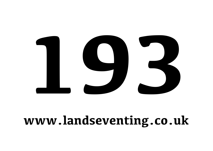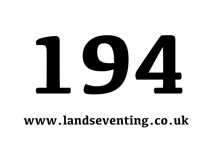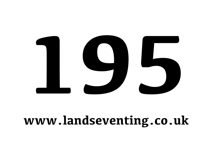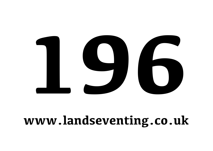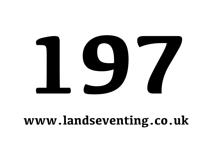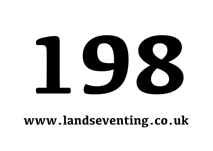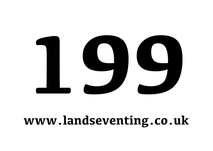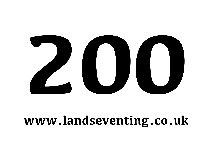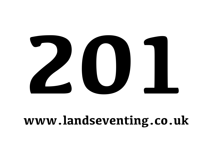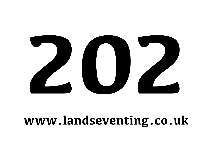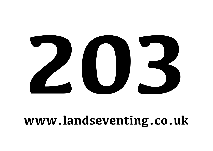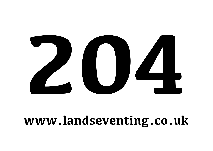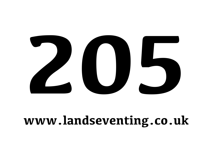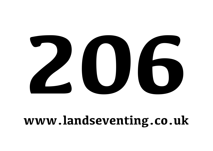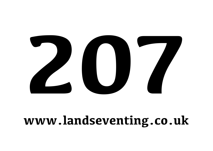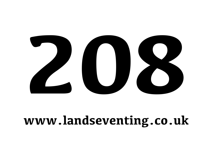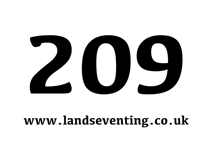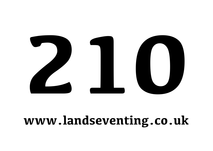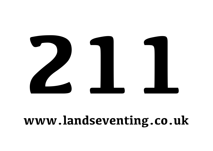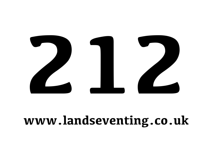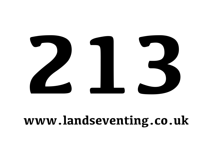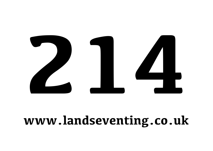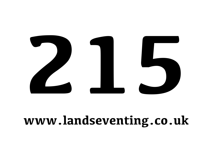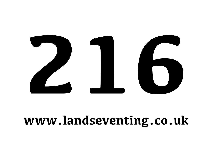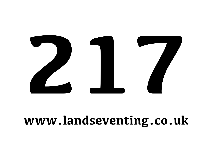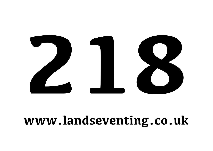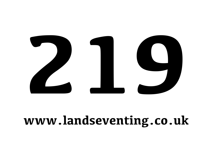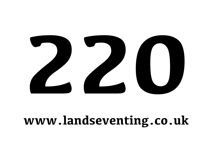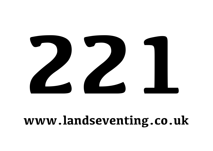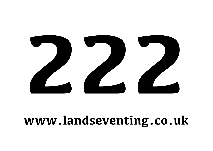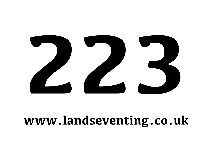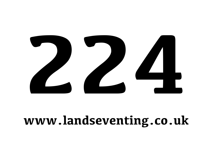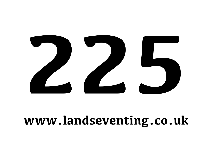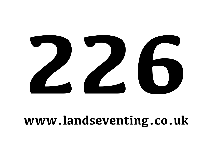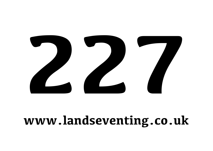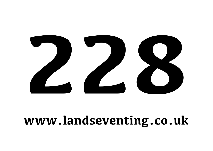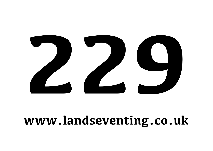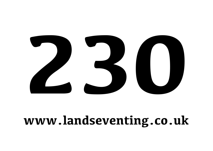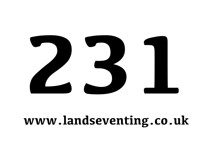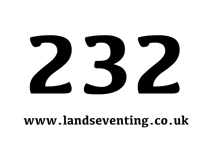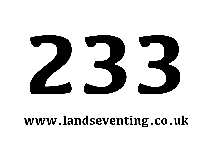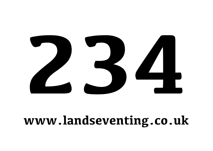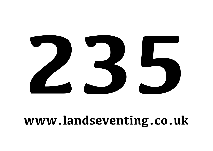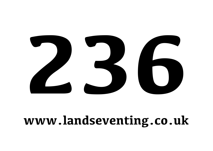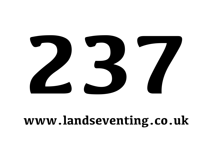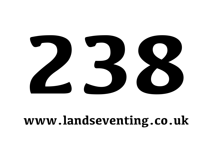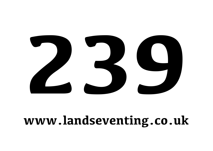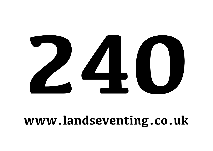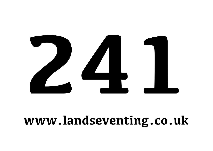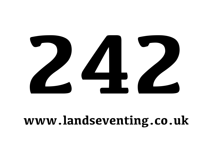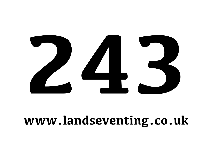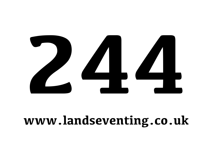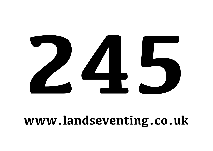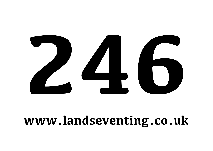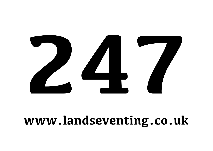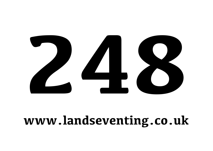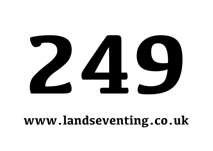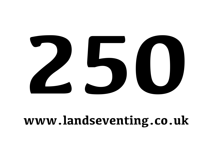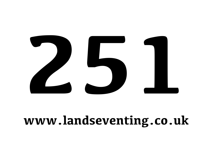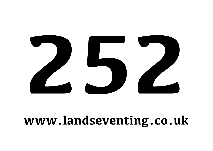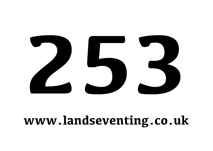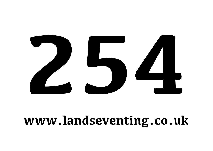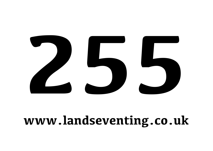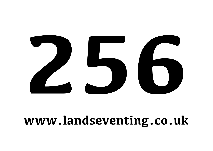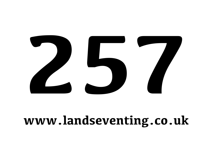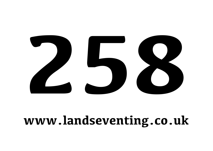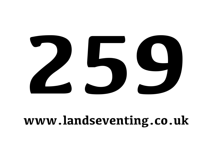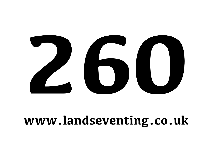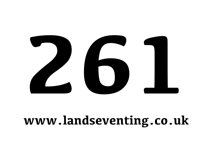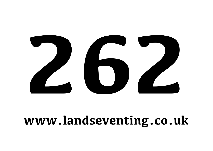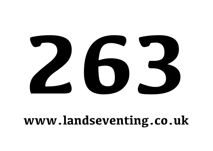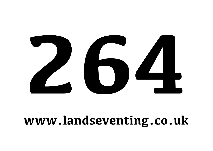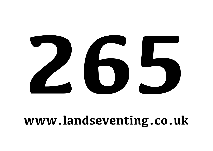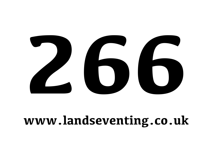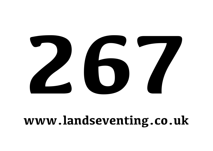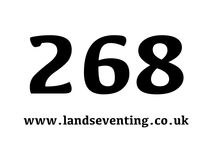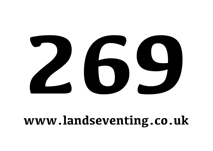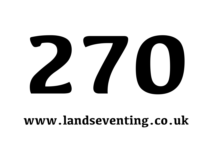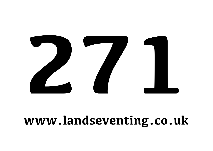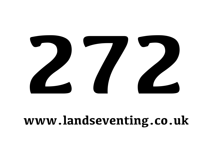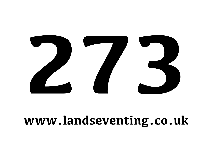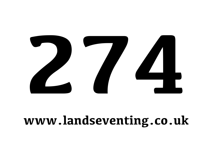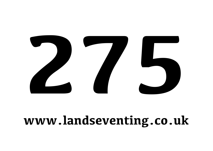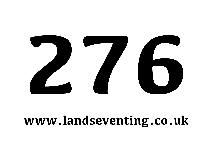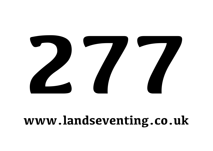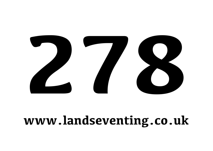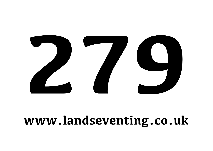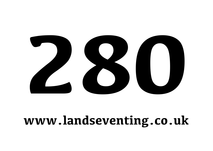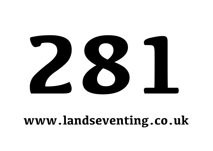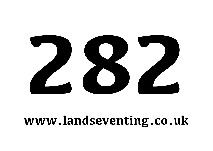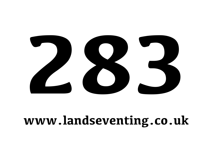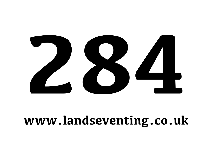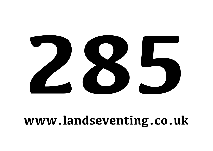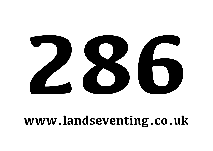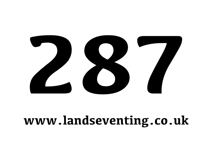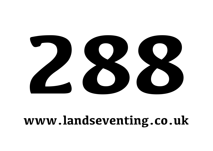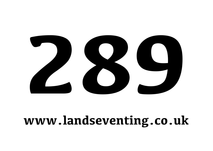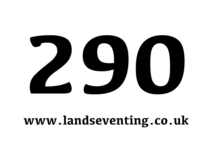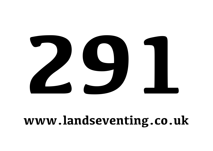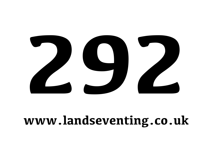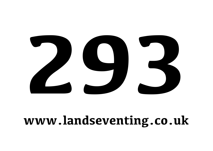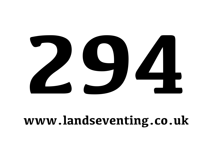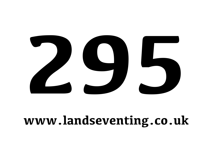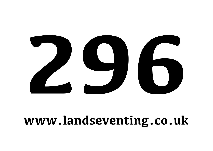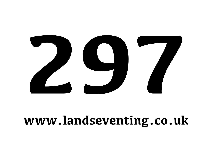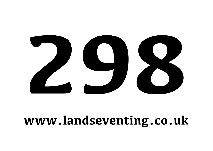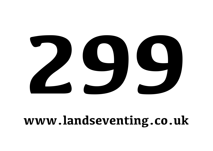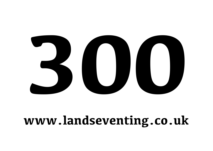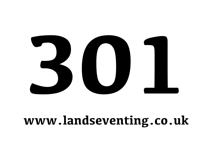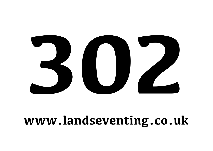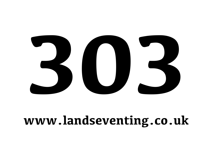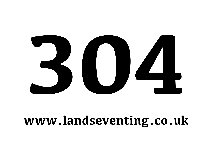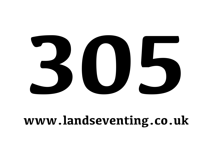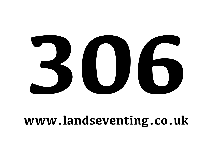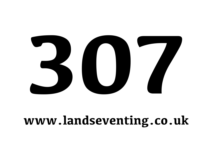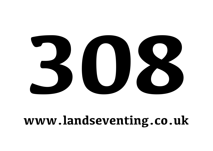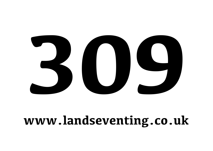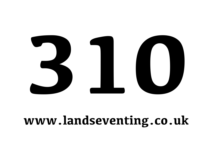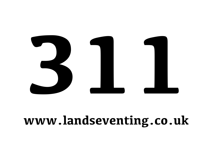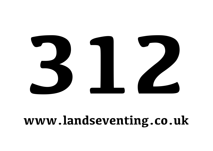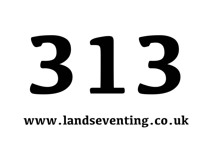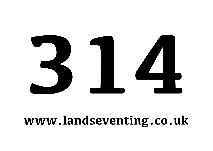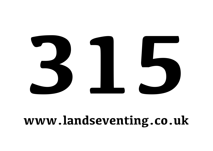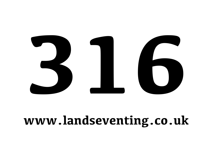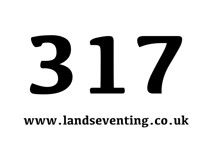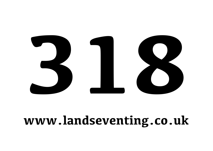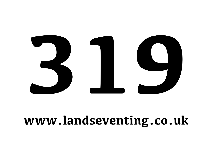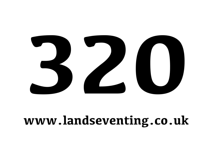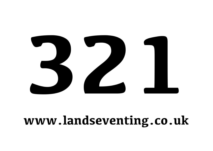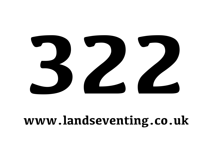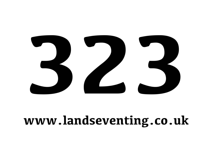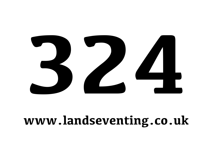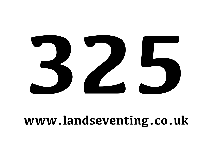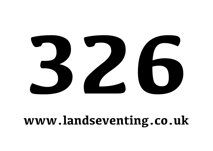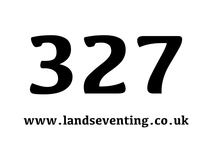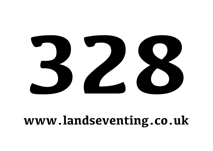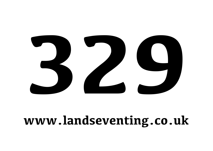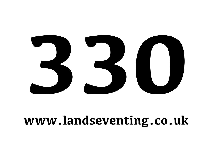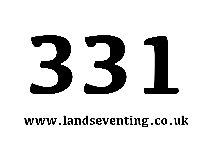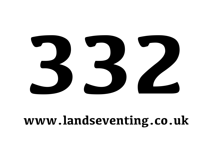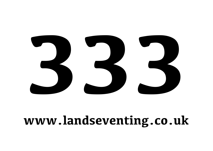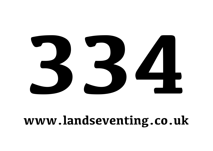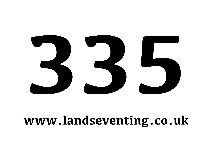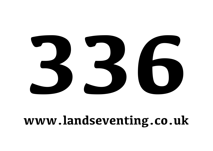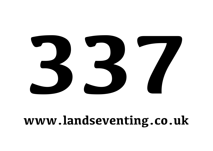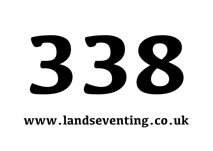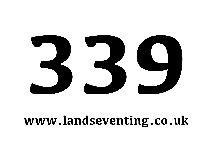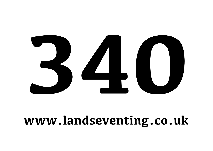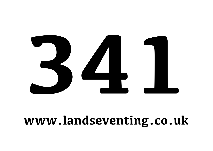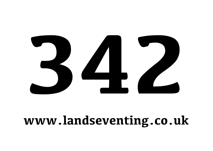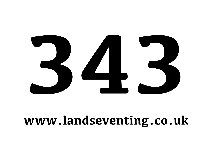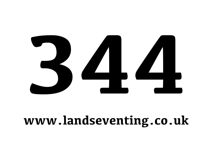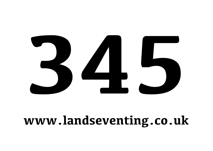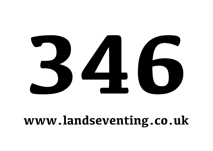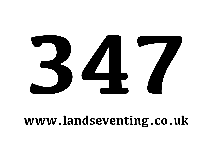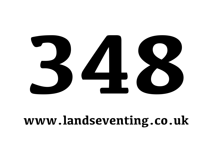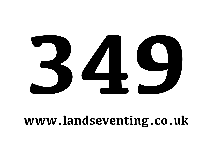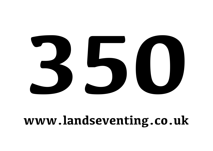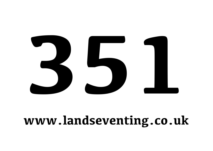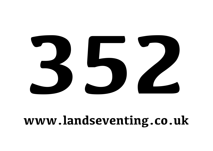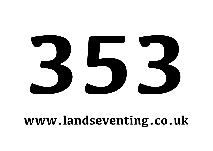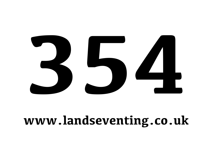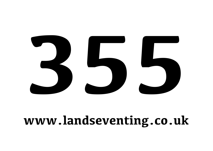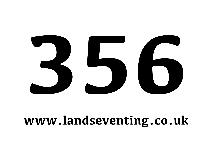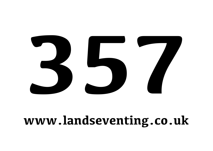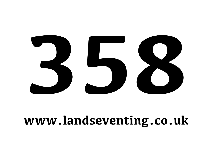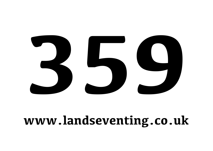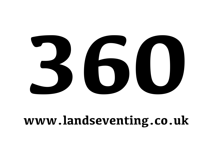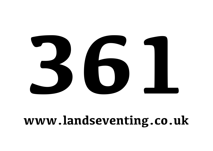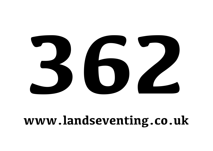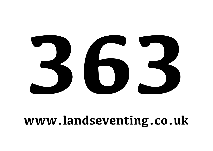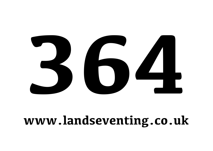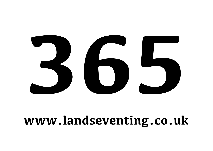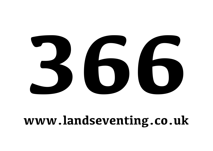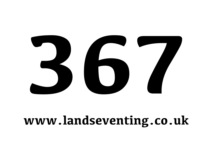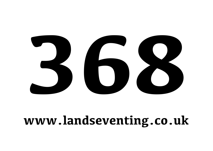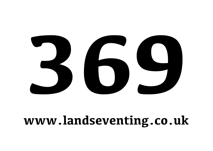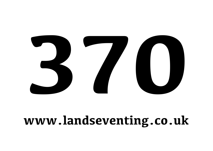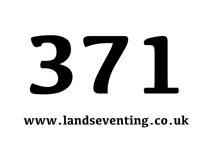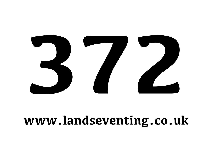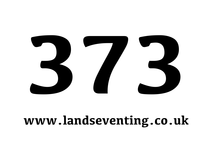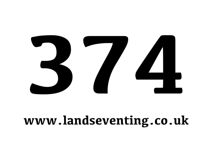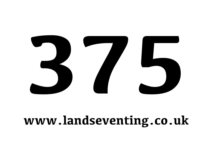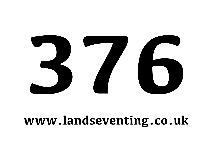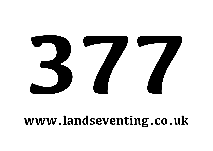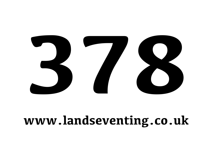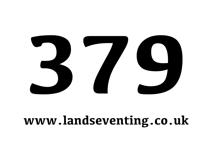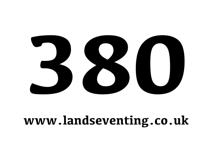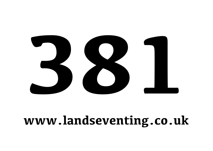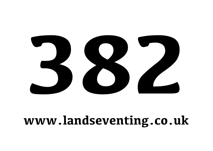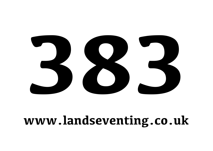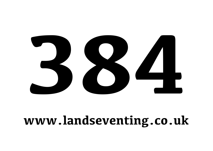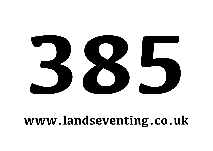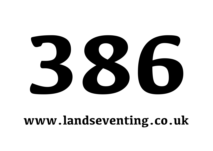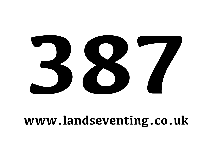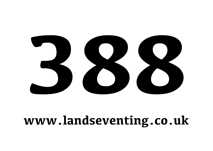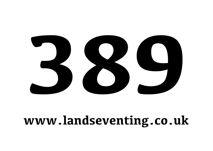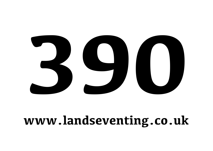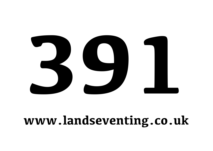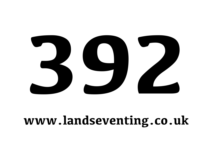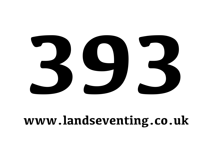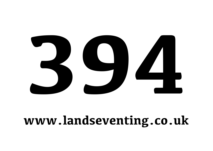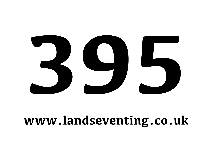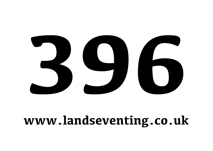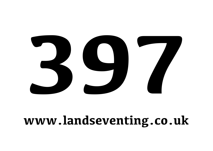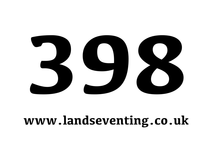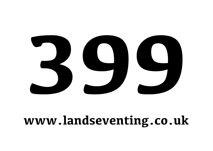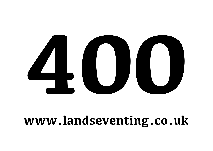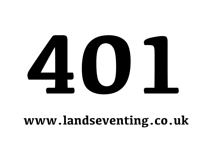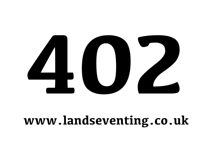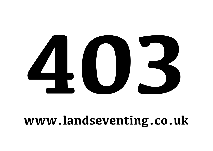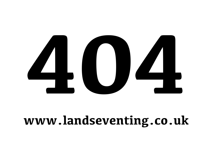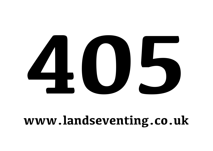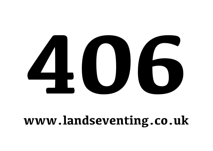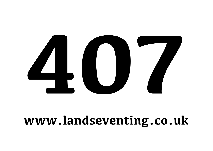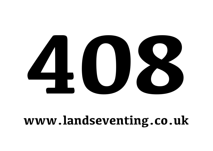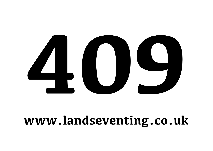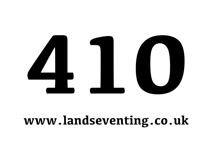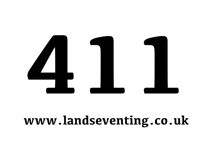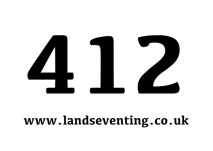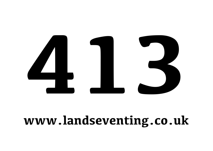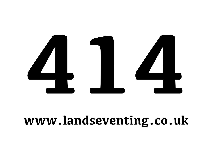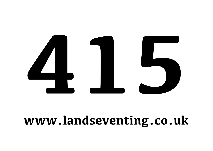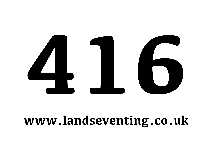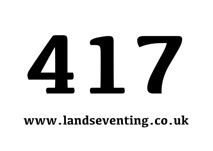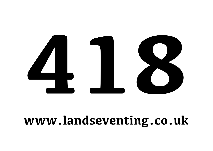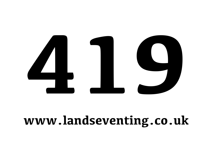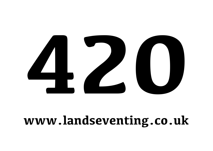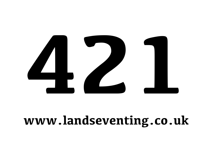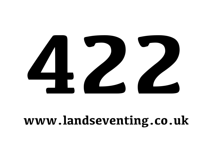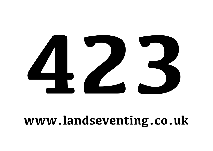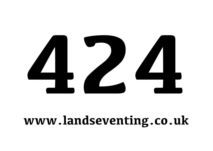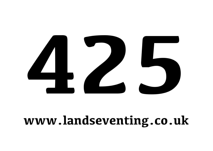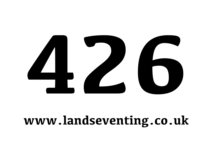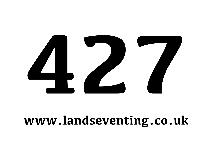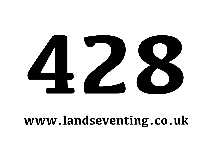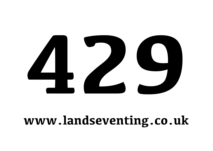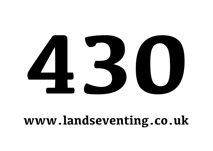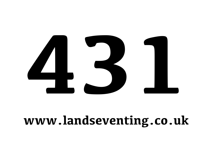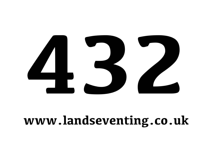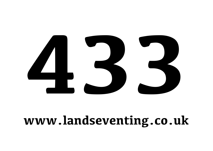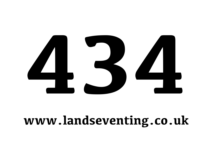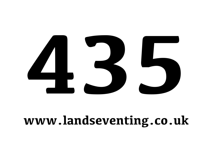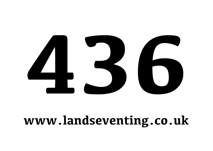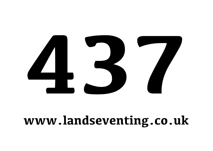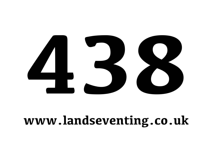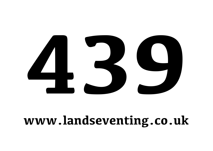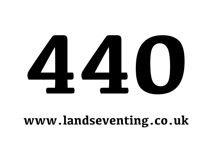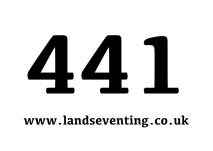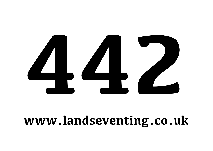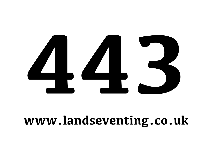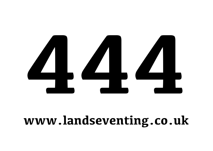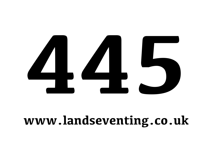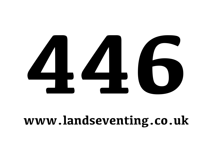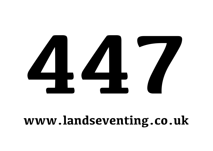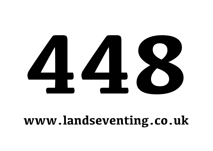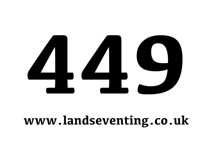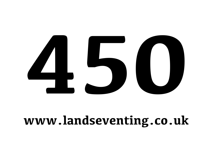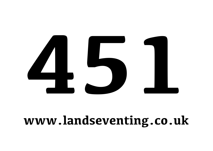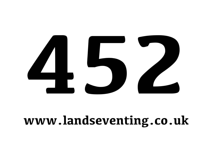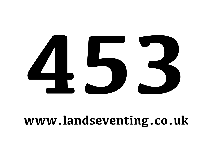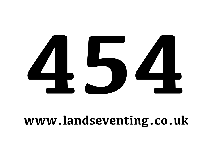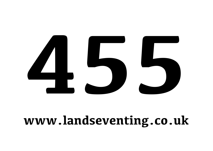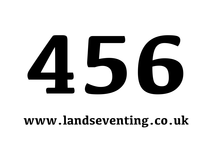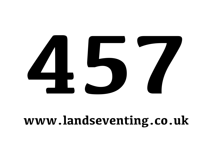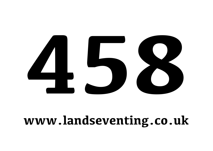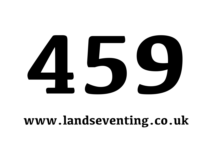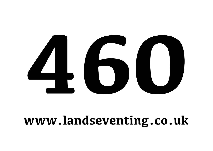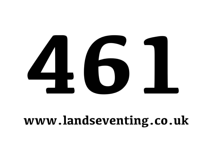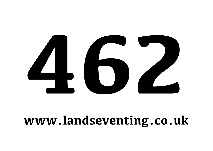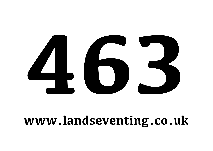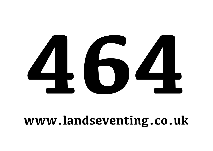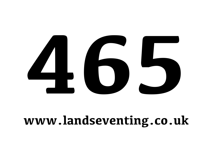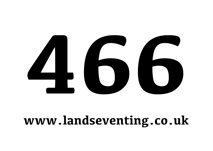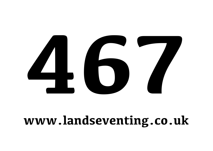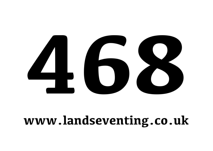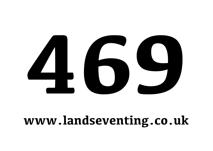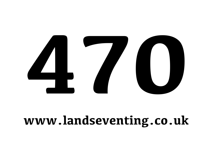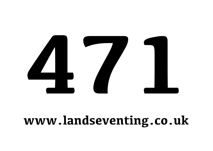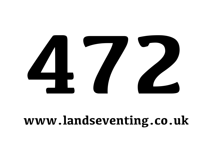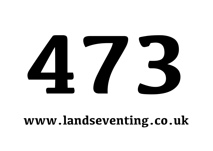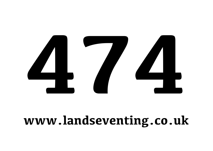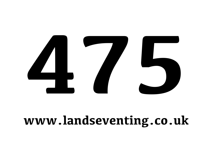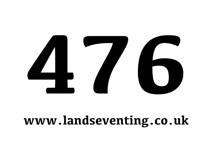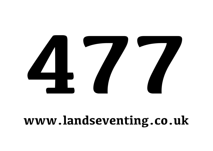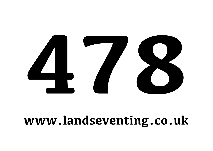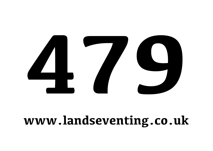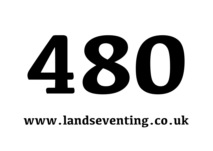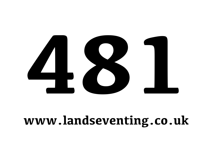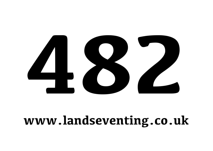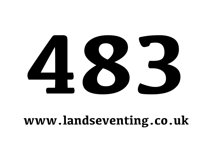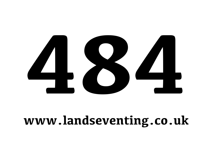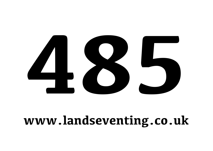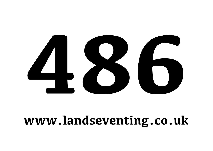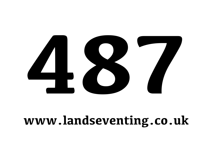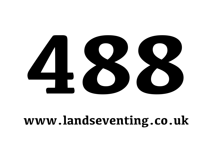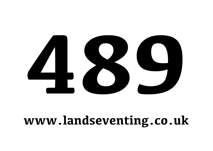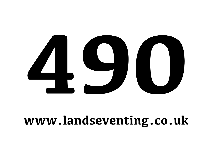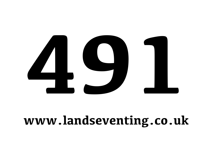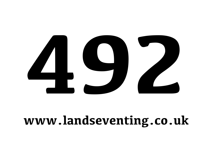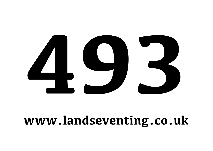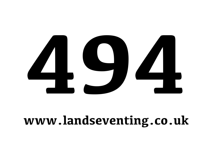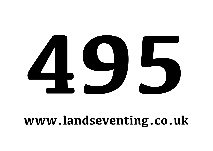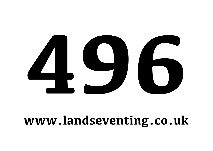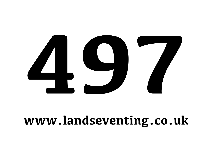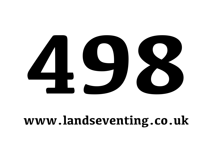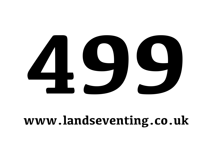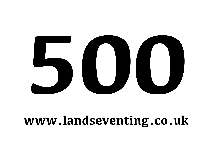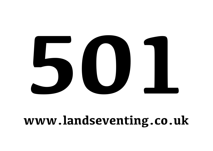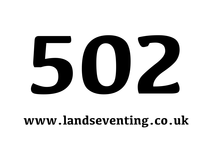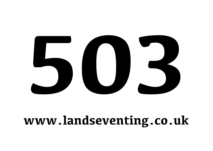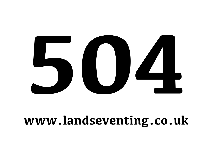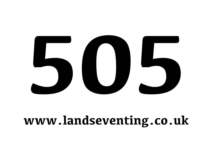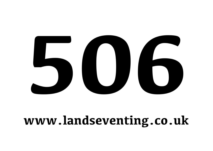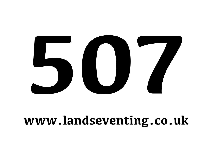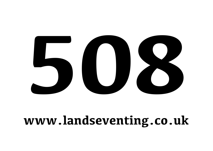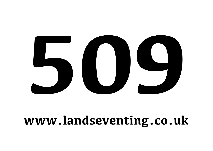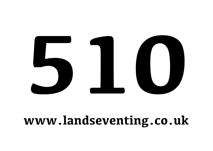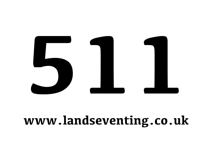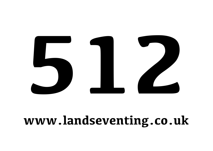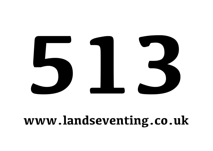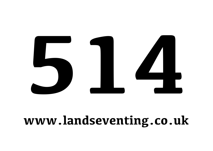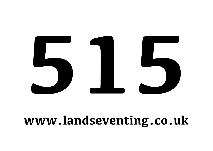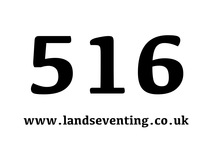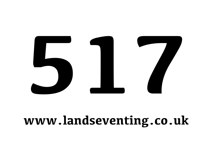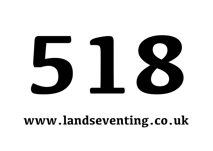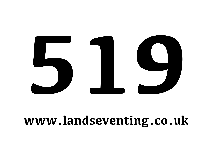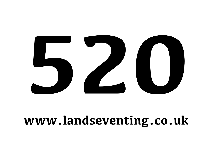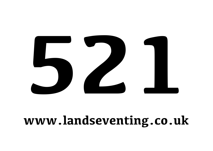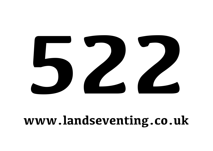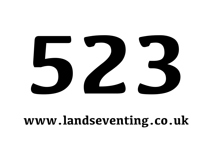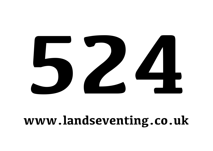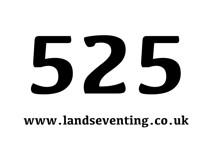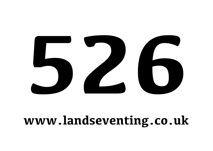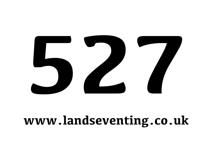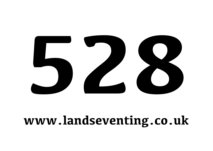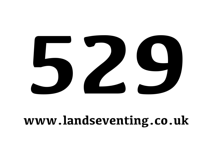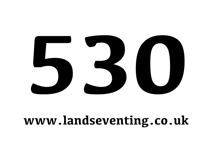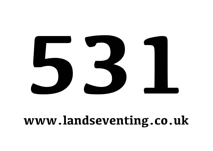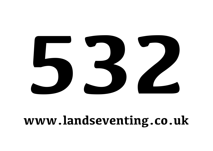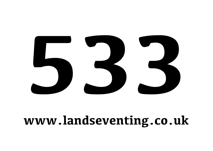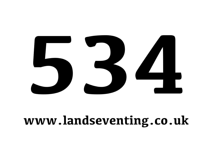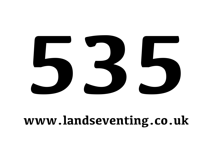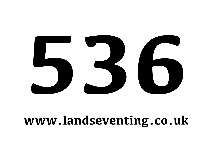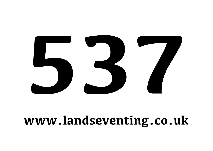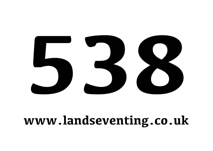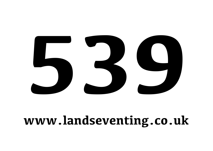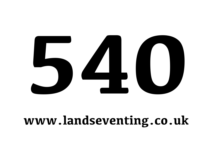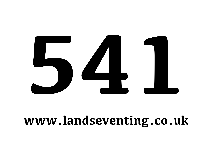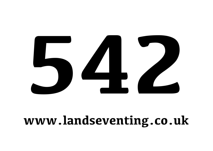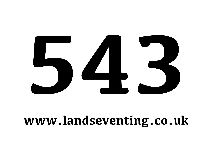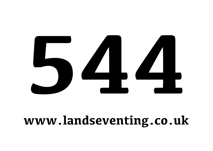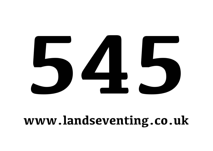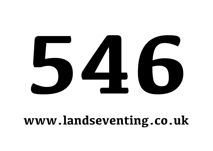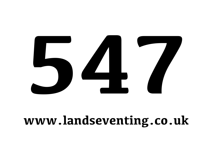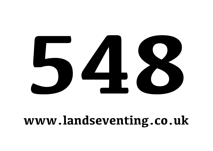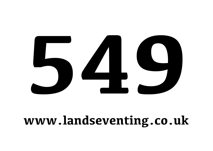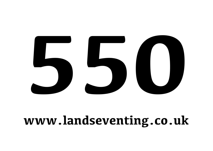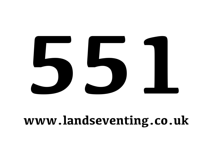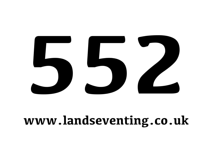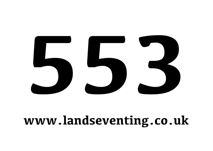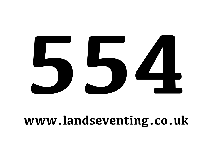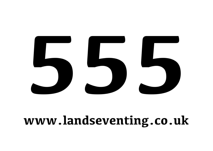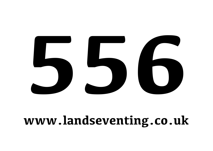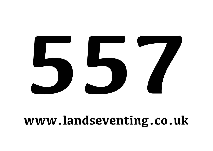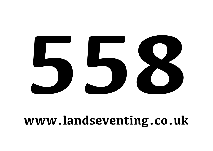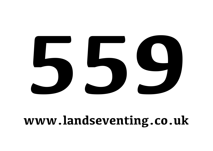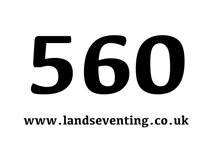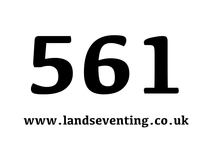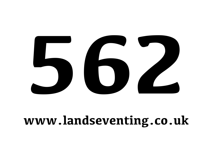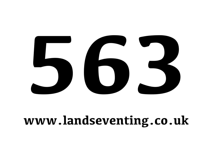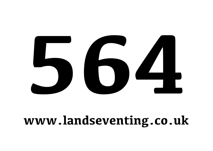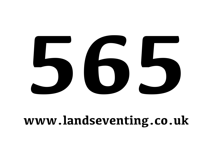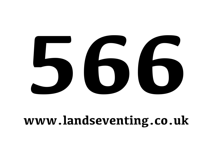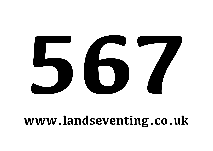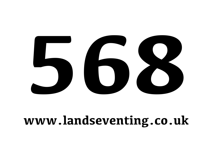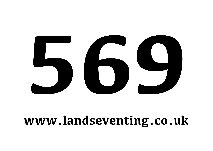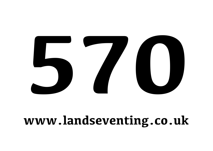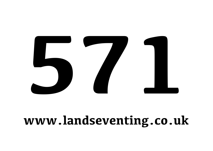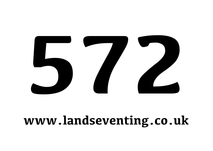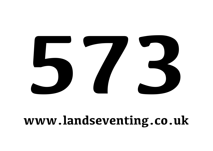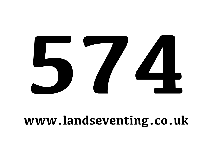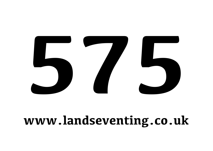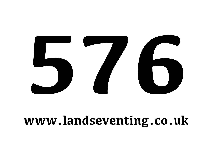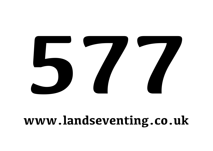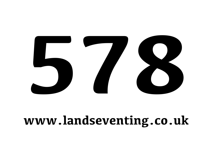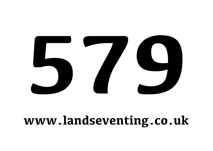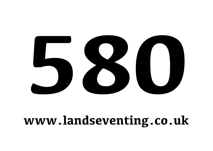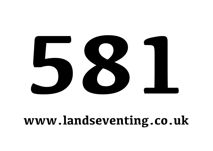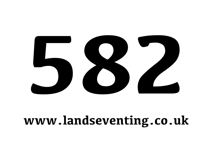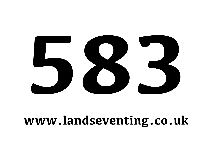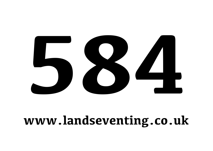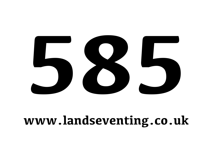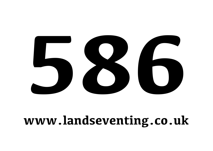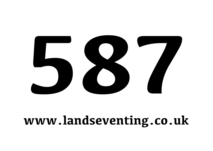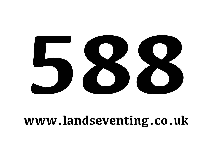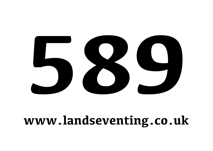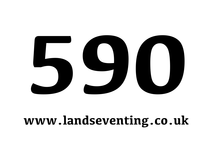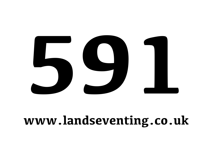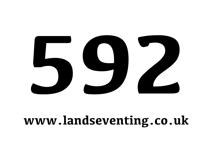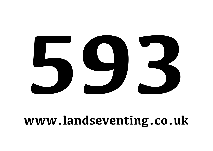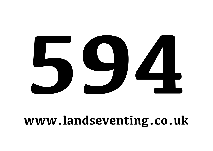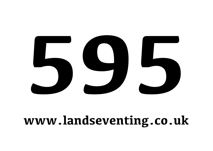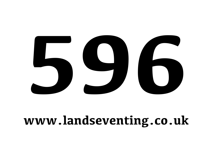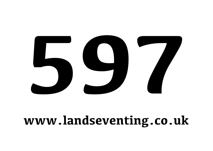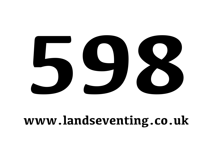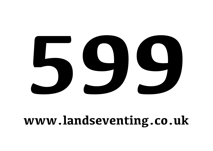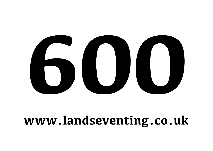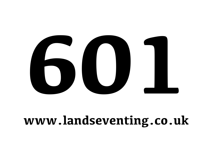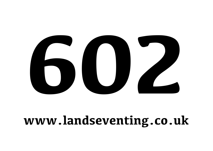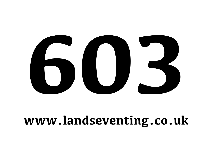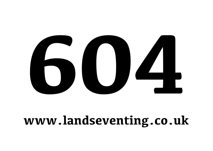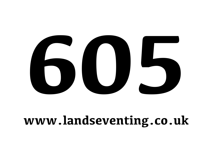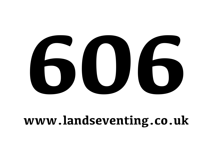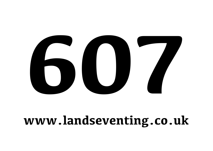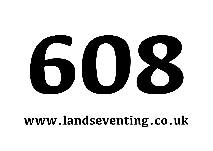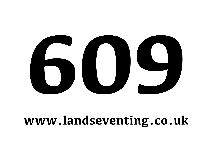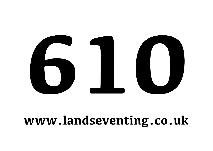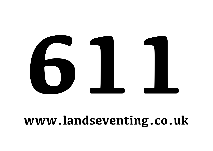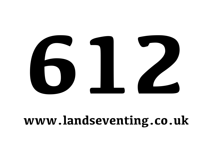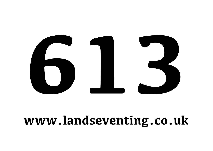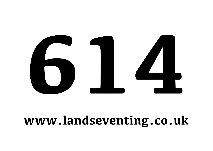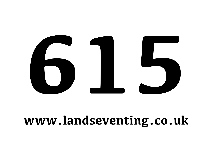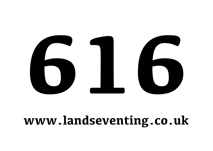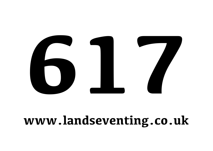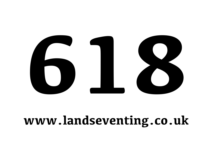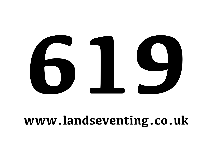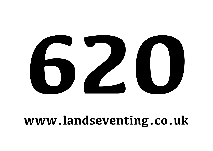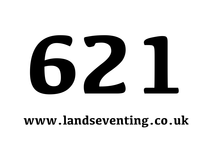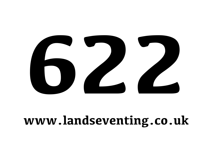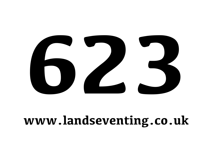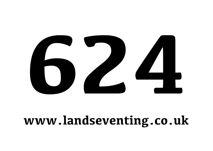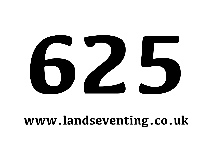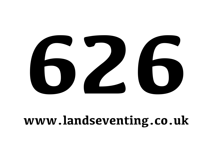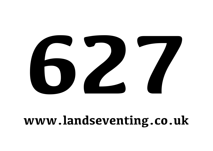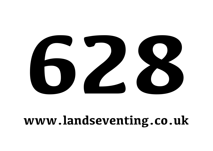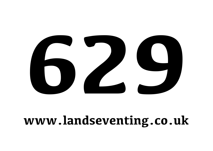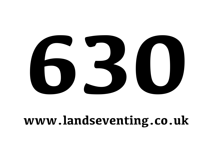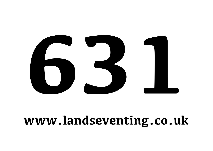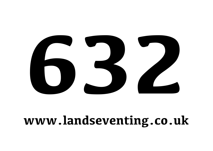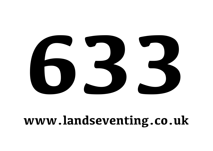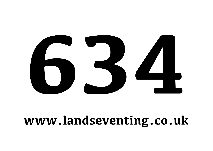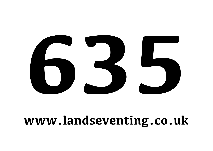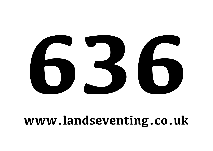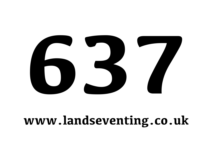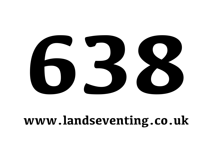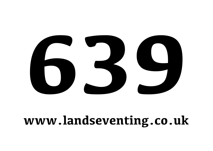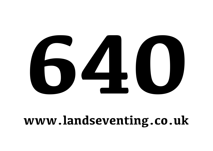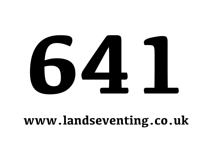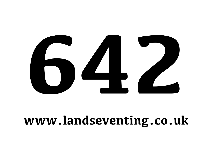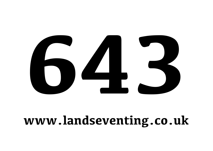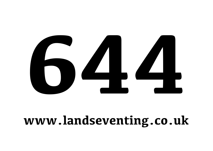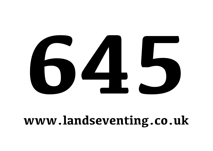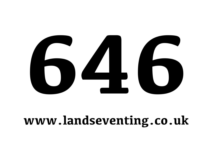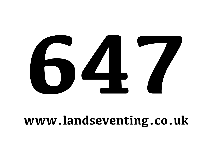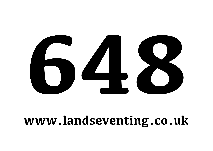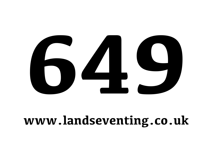

## **www.landseventing.co.uk**